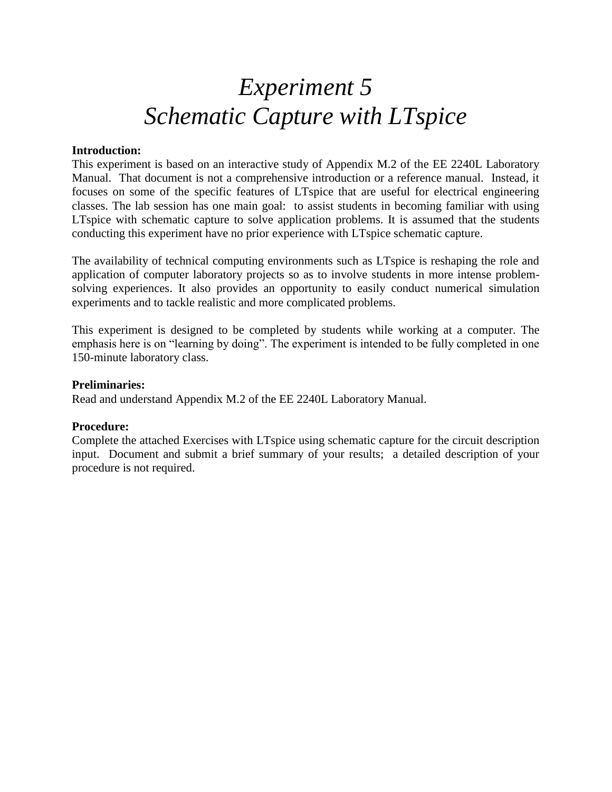## *Experiment 5 Schematic Capture with LTspice*

## **Introduction:**

This experiment is based on an interactive study of Appendix M.2 of the EE 2240L Laboratory Manual. That document is not a comprehensive introduction or a reference manual. Instead, it focuses on some of the specific features of LTspice that are useful for electrical engineering classes. The lab session has one main goal: to assist students in becoming familiar with using LTspice with schematic capture to solve application problems. It is assumed that the students conducting this experiment have no prior experience with LTspice schematic capture.

The availability of technical computing environments such as LTspice is reshaping the role and application of computer laboratory projects so as to involve students in more intense problemsolving experiences. It also provides an opportunity to easily conduct numerical simulation experiments and to tackle realistic and more complicated problems.

This experiment is designed to be completed by students while working at a computer. The emphasis here is on "learning by doing". The experiment is intended to be fully completed in one 150-minute laboratory class.

## **Preliminaries:**

Read and understand Appendix M.2 of the EE 2240L Laboratory Manual.

## **Procedure:**

Complete the attached Exercises with LTspice using schematic capture for the circuit description input. Document and submit a brief summary of your results; a detailed description of your procedure is not required.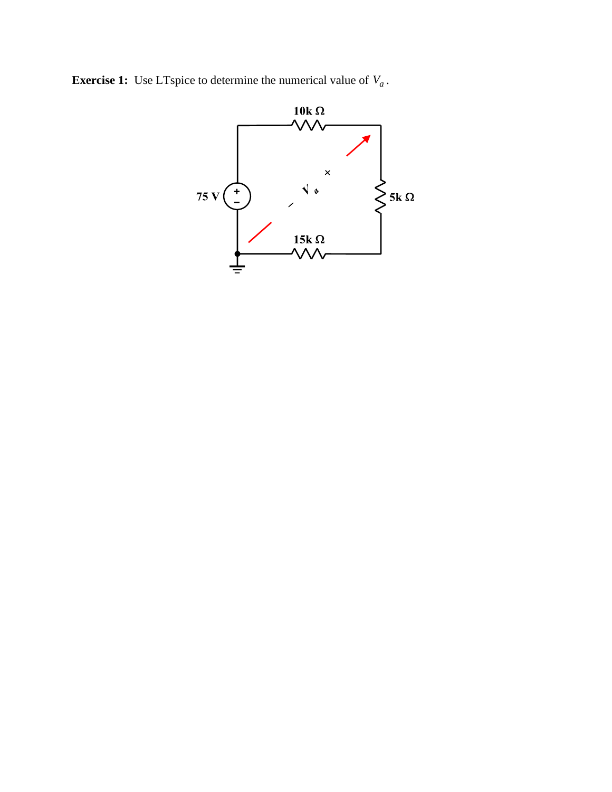**Exercise 1:** Use LTspice to determine the numerical value of  $V_a$ .

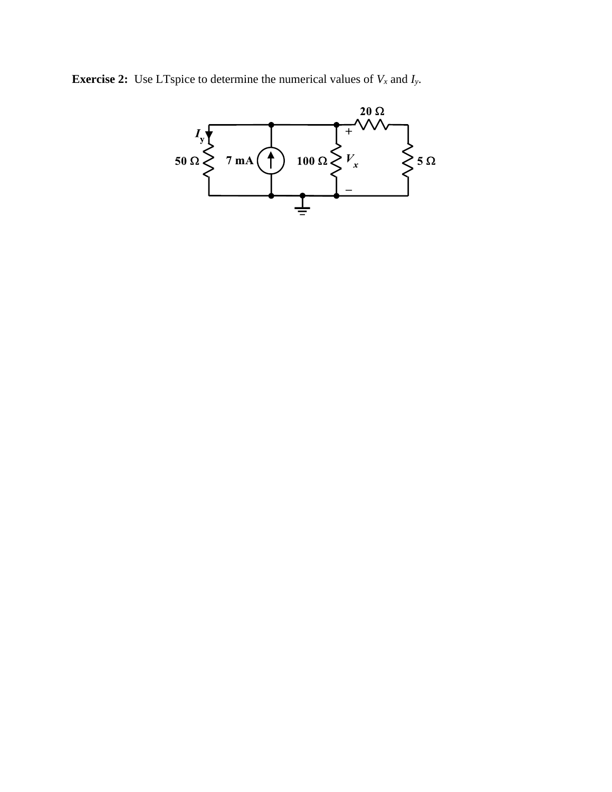**Exercise 2:** Use LTspice to determine the numerical values of  $V_x$  and  $I_y$ .

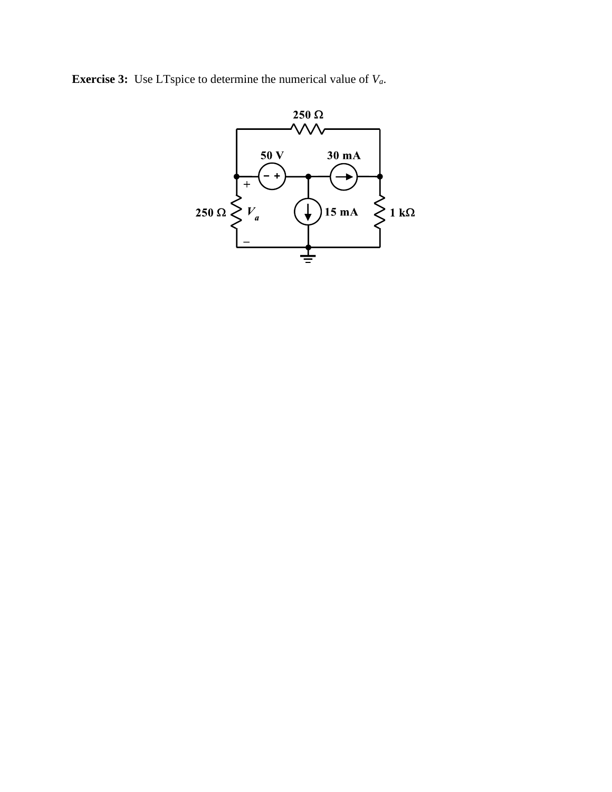**Exercise 3:** Use LTspice to determine the numerical value of *Va*.

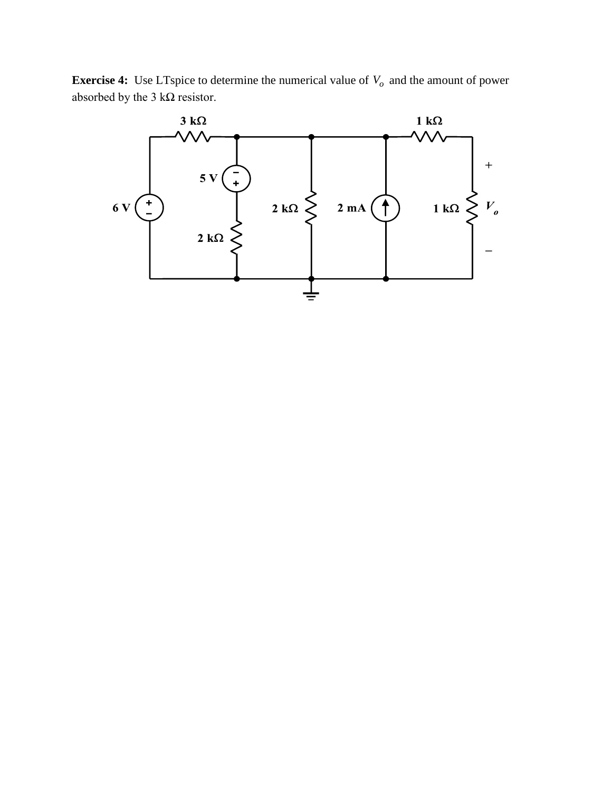**Exercise 4:** Use LTspice to determine the numerical value of  $V$ <sup>0</sup> and the amount of power absorbed by the 3 k $\Omega$  resistor.